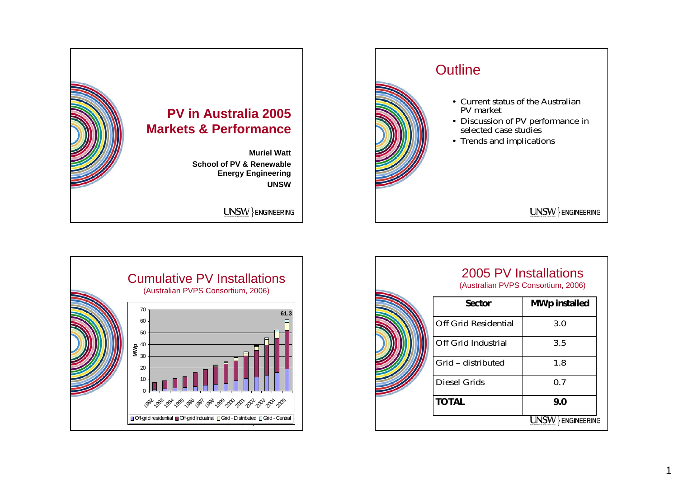







1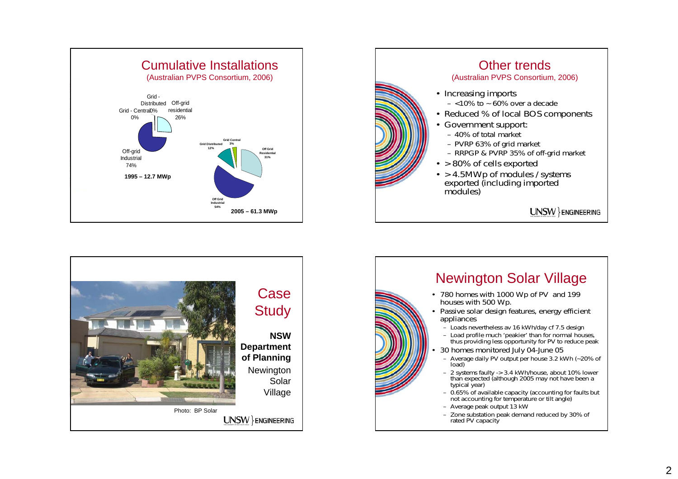





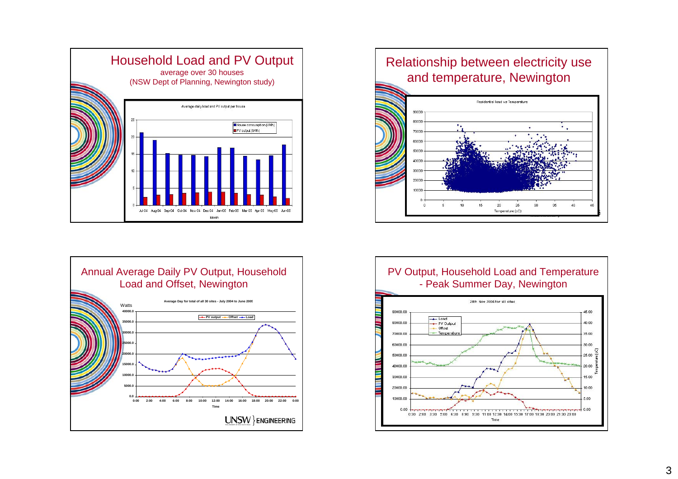



## Relationship between electricity use and temperature, Newington



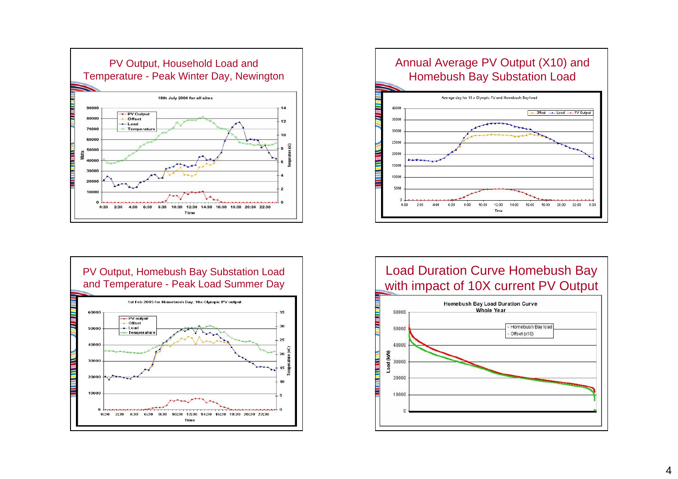







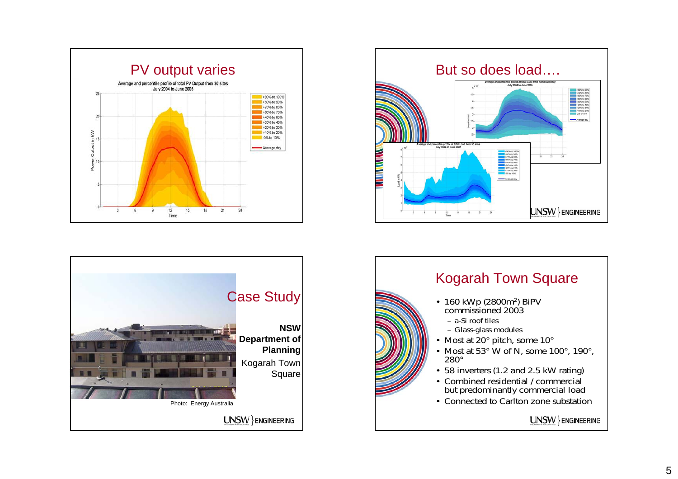